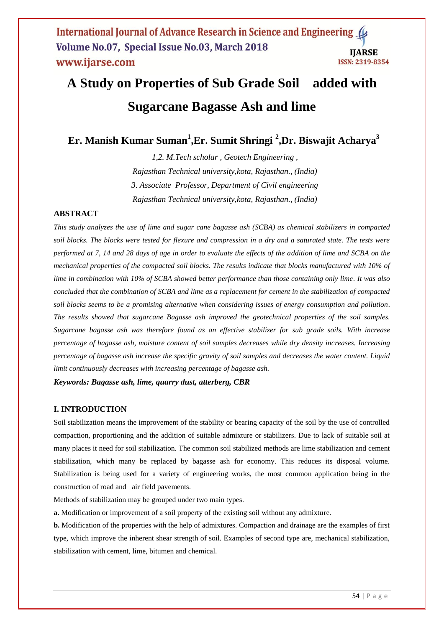# **A Study on Properties of Sub Grade Soil added with Sugarcane Bagasse Ash and lime**

**Er. Manish Kumar Suman<sup>1</sup> ,Er. Sumit Shringi <sup>2</sup> ,Dr. Biswajit Acharya<sup>3</sup>**

*1,2. M.Tech scholar , Geotech Engineering , Rajasthan Technical university,kota, Rajasthan., (India) 3. Associate Professor, Department of Civil engineering Rajasthan Technical university,kota, Rajasthan., (India)*

# **ABSTRACT**

*This study analyzes the use of lime and sugar cane bagasse ash (SCBA) as chemical stabilizers in compacted soil blocks. The blocks were tested for flexure and compression in a dry and a saturated state. The tests were performed at 7, 14 and 28 days of age in order to evaluate the effects of the addition of lime and SCBA on the mechanical properties of the compacted soil blocks. The results indicate that blocks manufactured with 10% of lime in combination with 10% of SCBA showed better performance than those containing only lime. It was also concluded that the combination of SCBA and lime as a replacement for cement in the stabilization of compacted soil blocks seems to be a promising alternative when considering issues of energy consumption and pollution. The results showed that sugarcane Bagasse ash improved the geotechnical properties of the soil samples. Sugarcane bagasse ash was therefore found as an effective stabilizer for sub grade soils. With increase percentage of bagasse ash, moisture content of soil samples decreases while dry density increases. Increasing percentage of bagasse ash increase the specific gravity of soil samples and decreases the water content. Liquid limit continuously decreases with increasing percentage of bagasse ash.*

*Keywords: Bagasse ash, lime, quarry dust, atterberg, CBR*

## **I. INTRODUCTION**

Soil stabilization means the improvement of the stability or bearing capacity of the soil by the use of controlled compaction, proportioning and the addition of suitable admixture or stabilizers. Due to lack of suitable soil at many places it need for soil stabilization. The common soil stabilized methods are lime stabilization and cement stabilization, which many be replaced by bagasse ash for economy. This reduces its disposal volume. Stabilization is being used for a variety of engineering works, the most common application being in the construction of road and air field pavements.

Methods of stabilization may be grouped under two main types.

**a.** Modification or improvement of a soil property of the existing soil without any admixture.

**b.** Modification of the properties with the help of admixtures. Compaction and drainage are the examples of first type, which improve the inherent shear strength of soil. Examples of second type are, mechanical stabilization, stabilization with cement, lime, bitumen and chemical.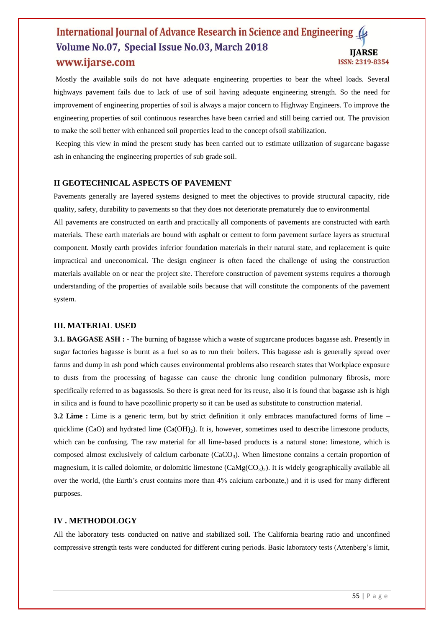### International Journal of Advance Research in Science and Engineering Volume No.07, Special Issue No.03, March 2018 **IIARSE** www.ijarse.com **ISSN: 2319-8354**

Mostly the available soils do not have adequate engineering properties to bear the wheel loads. Several highways pavement fails due to lack of use of soil having adequate engineering strength. So the need for improvement of engineering properties of soil is always a major concern to Highway Engineers. To improve the engineering properties of soil continuous researches have been carried and still being carried out. The provision to make the soil better with enhanced soil properties lead to the concept ofsoil stabilization.

Keeping this view in mind the present study has been carried out to estimate utilization of sugarcane bagasse ash in enhancing the engineering properties of sub grade soil.

# **II GEOTECHNICAL ASPECTS OF PAVEMENT**

Pavements generally are layered systems designed to meet the objectives to provide structural capacity, ride quality, safety, durability to pavements so that they does not deteriorate prematurely due to environmental All pavements are constructed on earth and practically all components of pavements are constructed with earth materials. These earth materials are bound with asphalt or cement to form pavement surface layers as structural component. Mostly earth provides inferior foundation materials in their natural state, and replacement is quite impractical and uneconomical. The design engineer is often faced the challenge of using the construction materials available on or near the project site. Therefore construction of pavement systems requires a thorough understanding of the properties of available soils because that will constitute the components of the pavement system.

#### **III. MATERIAL USED**

**3.1. BAGGASE ASH :** - The burning of bagasse which a waste of sugarcane produces bagasse ash. Presently in sugar factories bagasse is burnt as a fuel so as to run their boilers. This bagasse ash is generally spread over farms and dump in ash pond which causes environmental problems also research states that Workplace exposure to dusts from the processing of bagasse can cause the chronic lung condition pulmonary fibrosis, more specifically referred to as bagassosis. So there is great need for its reuse, also it is found that bagasse ash is high in silica and is found to have pozollinic property so it can be used as substitute to construction material.

**3.2 Lime :** Lime is a generic term, but by strict definition it only embraces manufactured forms of lime – quicklime (CaO) and hydrated lime  $(Ca(OH<sub>2</sub>)$ . It is, however, sometimes used to describe limestone products, which can be confusing. The raw material for all lime-based products is a natural stone: limestone, which is composed almost exclusively of calcium carbonate  $(CaCO<sub>3</sub>)$ . When limestone contains a certain proportion of magnesium, it is called dolomite, or dolomitic limestone  $(CaMg(CO<sub>3</sub>)<sub>2</sub>)$ . It is widely geographically available all over the world, (the Earth's crust contains more than 4% calcium carbonate,) and it is used for many different purposes.

#### **IV . METHODOLOGY**

All the laboratory tests conducted on native and stabilized soil. The California bearing ratio and unconfined compressive strength tests were conducted for different curing periods. Basic laboratory tests (Attenberg's limit,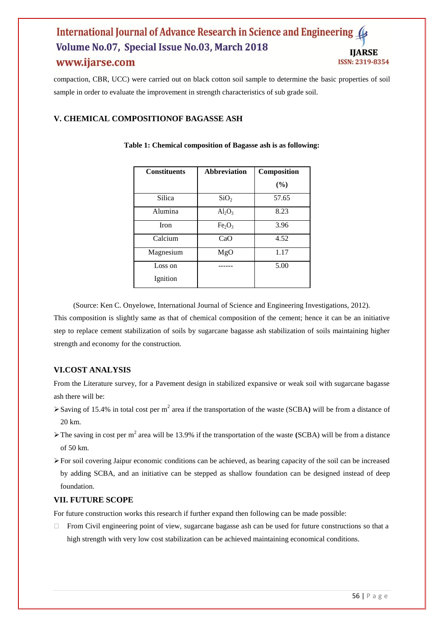## International Journal of Advance Research in Science and Engineering 4 Volume No.07, Special Issue No.03, March 2018 **IIARSE** www.ijarse.com ISSN: 2319-8354

compaction, CBR, UCC) were carried out on black cotton soil sample to determine the basic properties of soil sample in order to evaluate the improvement in strength characteristics of sub grade soil.

# **V. CHEMICAL COMPOSITIONOF BAGASSE ASH**

| <b>Constituents</b> | Abbreviation                   | Composition |
|---------------------|--------------------------------|-------------|
|                     |                                | (%)         |
| Silica              | SiO <sub>2</sub>               | 57.65       |
| Alumina             | $Al_2O_3$                      | 8.23        |
| <b>Iron</b>         | Fe <sub>2</sub> O <sub>3</sub> | 3.96        |
| Calcium             | CaO                            | 4.52        |
| Magnesium           | MgO                            | 1.17        |
| Loss on             |                                | 5.00        |
| Ignition            |                                |             |

## **Table 1: Chemical composition of Bagasse ash is as following:**

(Source: Ken C. Onyelowe, International Journal of Science and Engineering Investigations, 2012). This composition is slightly same as that of chemical composition of the cement; hence it can be an initiative step to replace cement stabilization of soils by sugarcane bagasse ash stabilization of soils maintaining higher strength and economy for the construction.

# **VI.COST ANALYSIS**

From the Literature survey, for a Pavement design in stabilized expansive or weak soil with sugarcane bagasse ash there will be:

- $\triangleright$  Saving of 15.4% in total cost per m<sup>2</sup> area if the transportation of the waste (SCBA) will be from a distance of 20 km.
- $\triangleright$  The saving in cost per m<sup>2</sup> area will be 13.9% if the transportation of the waste **(SCBA)** will be from a distance of 50 km.
- For soil covering Jaipur economic conditions can be achieved, as bearing capacity of the soil can be increased by adding SCBA, and an initiative can be stepped as shallow foundation can be designed instead of deep foundation.

# **VII. FUTURE SCOPE**

For future construction works this research if further expand then following can be made possible:

 $\Box$  From Civil engineering point of view, sugarcane bagasse ash can be used for future constructions so that a high strength with very low cost stabilization can be achieved maintaining economical conditions.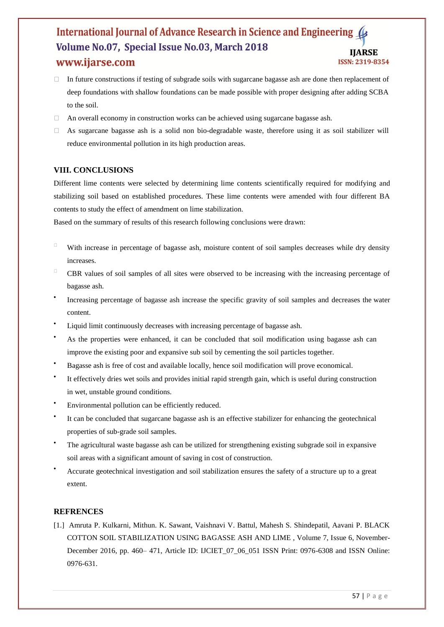## International Journal of Advance Research in Science and Engineering Volume No.07, Special Issue No.03, March 2018 **IIARSE** www.ijarse.com ISSN: 2319-8354

- $\Box$  In future constructions if testing of subgrade soils with sugarcane bagasse ash are done then replacement of deep foundations with shallow foundations can be made possible with proper designing after adding SCBA to the soil.
- An overall economy in construction works can be achieved using sugarcane bagasse ash.
- $\Box$  As sugarcane bagasse ash is a solid non bio-degradable waste, therefore using it as soil stabilizer will reduce environmental pollution in its high production areas.

# **VIII. CONCLUSIONS**

Different lime contents were selected by determining lime contents scientifically required for modifying and stabilizing soil based on established procedures. These lime contents were amended with four different BA contents to study the effect of amendment on lime stabilization.

Based on the summary of results of this research following conclusions were drawn:

- With increase in percentage of bagasse ash, moisture content of soil samples decreases while dry density increases.
- CBR values of soil samples of all sites were observed to be increasing with the increasing percentage of bagasse ash.
- $\bullet$ Increasing percentage of bagasse ash increase the specific gravity of soil samples and decreases the water content.
- Liquid limit continuously decreases with increasing percentage of bagasse ash.
- As the properties were enhanced, it can be concluded that soil modification using bagasse ash can improve the existing poor and expansive sub soil by cementing the soil particles together.
- Bagasse ash is free of cost and available locally, hence soil modification will prove economical.
- $\bullet$ It effectively dries wet soils and provides initial rapid strength gain, which is useful during construction in wet, unstable ground conditions.
- Environmental pollution can be efficiently reduced.
- $\bullet$ It can be concluded that sugarcane bagasse ash is an effective stabilizer for enhancing the geotechnical properties of sub-grade soil samples.
- The agricultural waste bagasse ash can be utilized for strengthening existing subgrade soil in expansive soil areas with a significant amount of saving in cost of construction.
- Accurate geotechnical investigation and soil stabilization ensures the safety of a structure up to a great extent.

# **REFRENCES**

[1.] Amruta P. Kulkarni, Mithun. K. Sawant, Vaishnavi V. Battul, Mahesh S. Shindepatil, Aavani P. BLACK COTTON SOIL STABILIZATION USING BAGASSE ASH AND LIME , Volume 7, Issue 6, November-December 2016, pp. 460– 471, Article ID: IJCIET\_07\_06\_051 ISSN Print: 0976-6308 and ISSN Online: 0976-631.